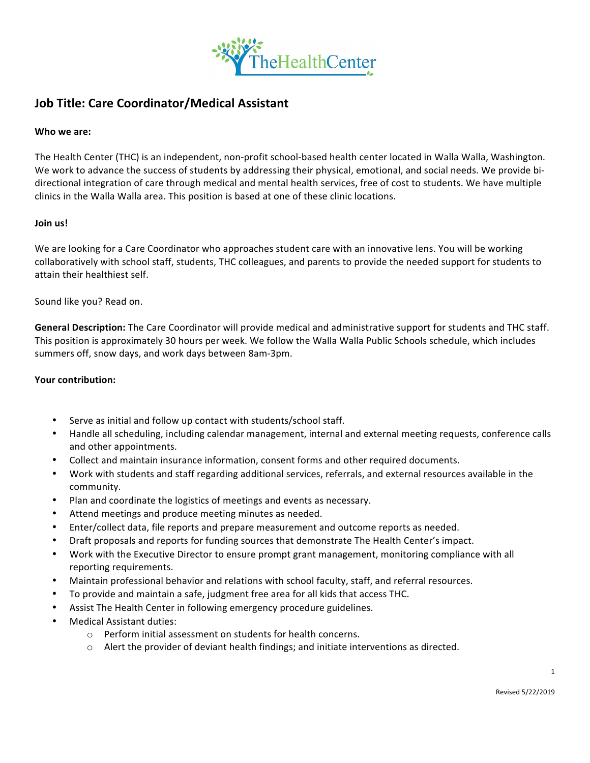

# **Job Title: Care Coordinator/Medical Assistant**

# **Who we are:**

The Health Center (THC) is an independent, non-profit school-based health center located in Walla Walla, Washington. We work to advance the success of students by addressing their physical, emotional, and social needs. We provide bidirectional integration of care through medical and mental health services, free of cost to students. We have multiple clinics in the Walla Walla area. This position is based at one of these clinic locations. 

# **Join us!**

We are looking for a Care Coordinator who approaches student care with an innovative lens. You will be working collaboratively with school staff, students, THC colleagues, and parents to provide the needed support for students to attain their healthiest self. 

# Sound like you? Read on.

**General Description:** The Care Coordinator will provide medical and administrative support for students and THC staff. This position is approximately 30 hours per week. We follow the Walla Walla Public Schools schedule, which includes summers off, snow days, and work days between 8am-3pm.

### **Your contribution:**

- Serve as initial and follow up contact with students/school staff.
- Handle all scheduling, including calendar management, internal and external meeting requests, conference calls and other appointments.
- Collect and maintain insurance information, consent forms and other required documents.
- Work with students and staff regarding additional services, referrals, and external resources available in the community.
- Plan and coordinate the logistics of meetings and events as necessary.
- Attend meetings and produce meeting minutes as needed.
- Enter/collect data, file reports and prepare measurement and outcome reports as needed.
- Draft proposals and reports for funding sources that demonstrate The Health Center's impact.
- Work with the Executive Director to ensure prompt grant management, monitoring compliance with all reporting requirements.
- Maintain professional behavior and relations with school faculty, staff, and referral resources.
- To provide and maintain a safe, judgment free area for all kids that access THC.
- Assist The Health Center in following emergency procedure guidelines.
- Medical Assistant duties:
	- $\circ$  Perform initial assessment on students for health concerns.
	- $\circ$  Alert the provider of deviant health findings; and initiate interventions as directed.

1